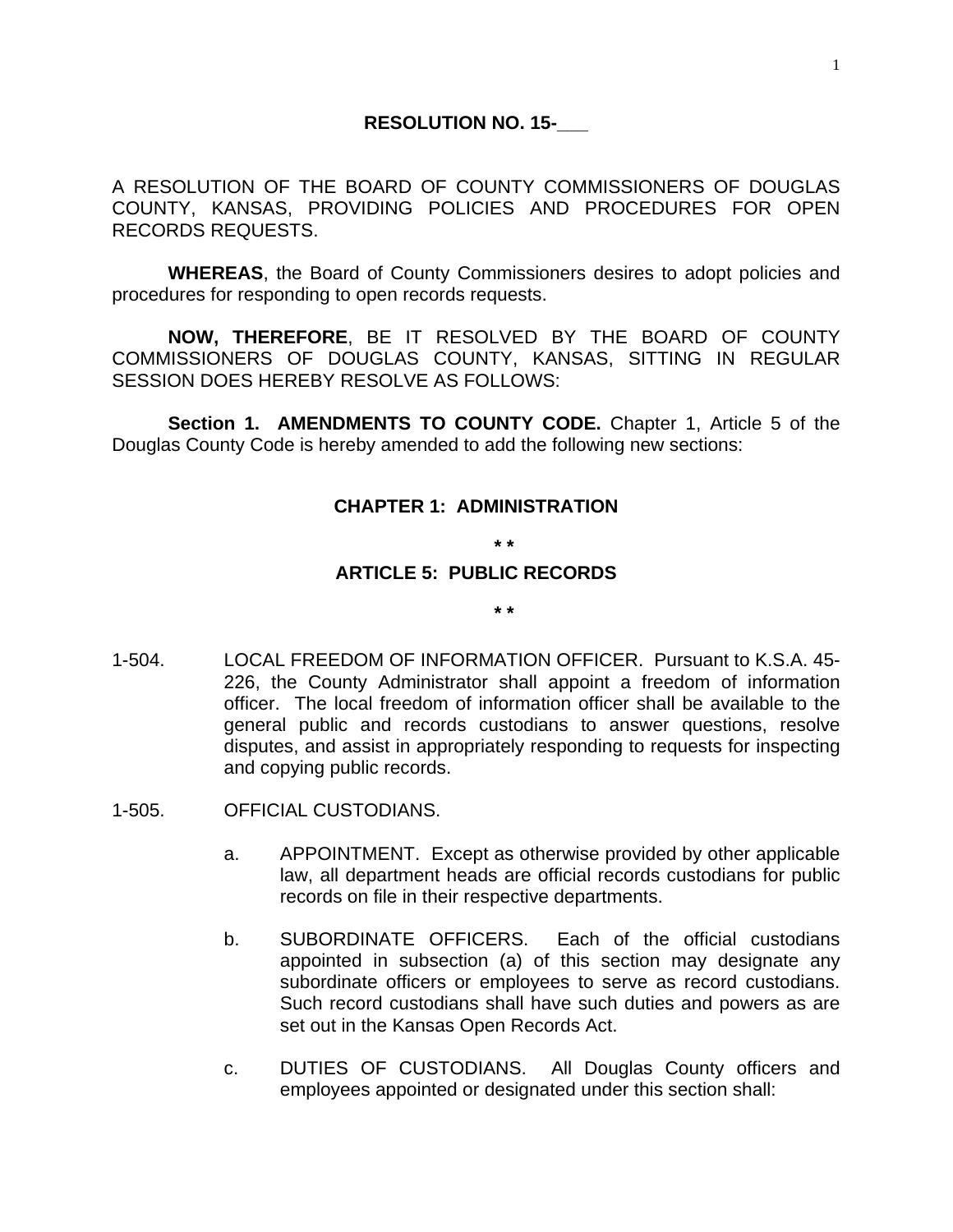A RESOLUTION OF THE BOARD OF COUNTY COMMISSIONERS OF DOUGLAS COUNTY, KANSAS, PROVIDING POLICIES AND PROCEDURES FOR OPEN RECORDS REQUESTS.

**WHEREAS**, the Board of County Commissioners desires to adopt policies and procedures for responding to open records requests.

**NOW, THEREFORE**, BE IT RESOLVED BY THE BOARD OF COUNTY COMMISSIONERS OF DOUGLAS COUNTY, KANSAS, SITTING IN REGULAR SESSION DOES HEREBY RESOLVE AS FOLLOWS:

**Section 1. AMENDMENTS TO COUNTY CODE.** Chapter 1, Article 5 of the Douglas County Code is hereby amended to add the following new sections:

## **CHAPTER 1: ADMINISTRATION**

**\* \*** 

**\* \*** 

## **ARTICLE 5: PUBLIC RECORDS**

1-504. LOCAL FREEDOM OF INFORMATION OFFICER. Pursuant to K.S.A. 45- 226, the County Administrator shall appoint a freedom of information officer. The local freedom of information officer shall be available to the general public and records custodians to answer questions, resolve disputes, and assist in appropriately responding to requests for inspecting and copying public records.

- 1-505. OFFICIAL CUSTODIANS.
	- a. APPOINTMENT. Except as otherwise provided by other applicable law, all department heads are official records custodians for public records on file in their respective departments.
	- b. SUBORDINATE OFFICERS. Each of the official custodians appointed in subsection (a) of this section may designate any subordinate officers or employees to serve as record custodians. Such record custodians shall have such duties and powers as are set out in the Kansas Open Records Act.
	- c. DUTIES OF CUSTODIANS. All Douglas County officers and employees appointed or designated under this section shall: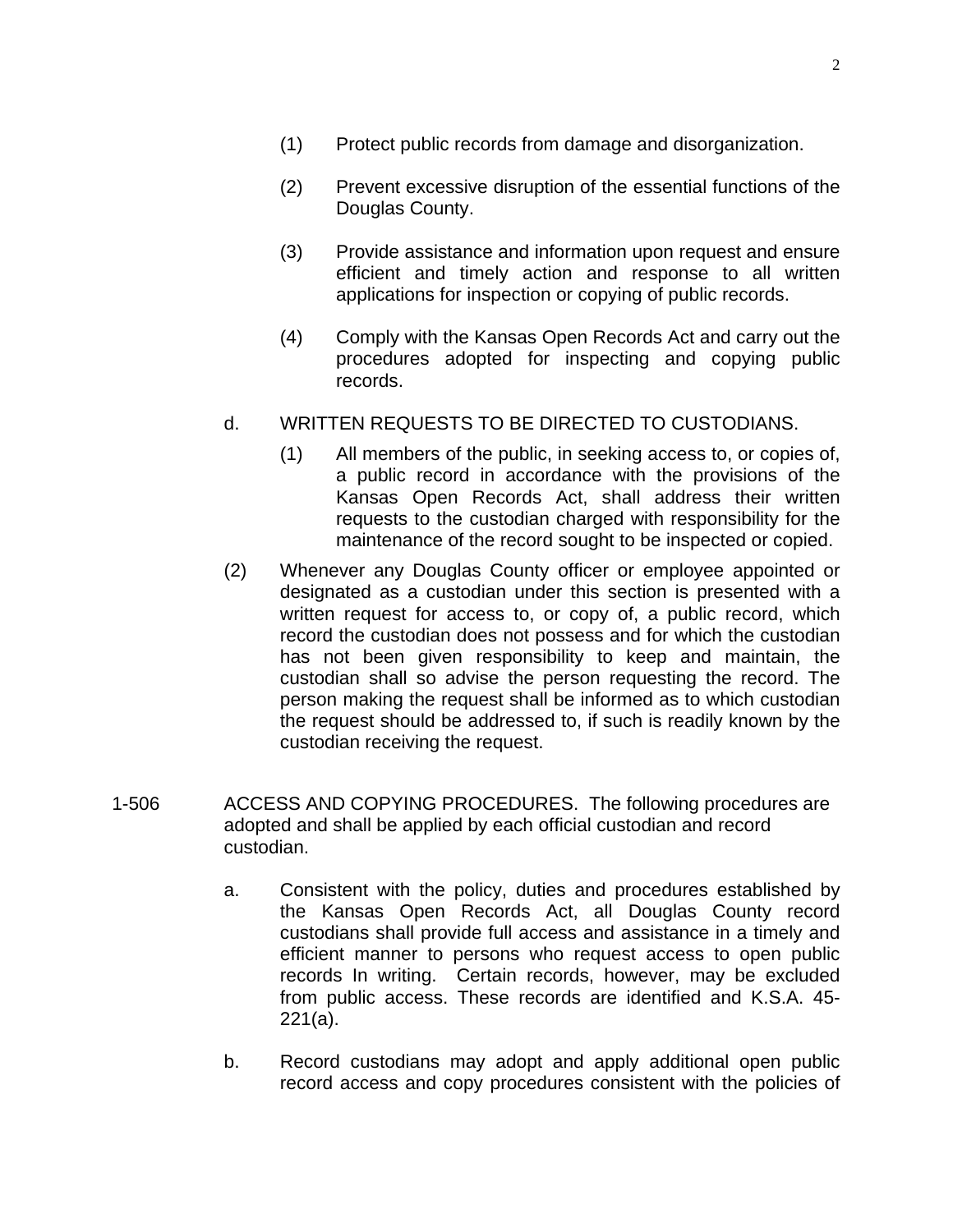- (1) Protect public records from damage and disorganization.
- (2) Prevent excessive disruption of the essential functions of the Douglas County.
- (3) Provide assistance and information upon request and ensure efficient and timely action and response to all written applications for inspection or copying of public records.
- (4) Comply with the Kansas Open Records Act and carry out the procedures adopted for inspecting and copying public records.
- d. WRITTEN REQUESTS TO BE DIRECTED TO CUSTODIANS.
	- (1) All members of the public, in seeking access to, or copies of, a public record in accordance with the provisions of the Kansas Open Records Act, shall address their written requests to the custodian charged with responsibility for the maintenance of the record sought to be inspected or copied.
- (2) Whenever any Douglas County officer or employee appointed or designated as a custodian under this section is presented with a written request for access to, or copy of, a public record, which record the custodian does not possess and for which the custodian has not been given responsibility to keep and maintain, the custodian shall so advise the person requesting the record. The person making the request shall be informed as to which custodian the request should be addressed to, if such is readily known by the custodian receiving the request.
- 1-506 ACCESS AND COPYING PROCEDURES. The following procedures are adopted and shall be applied by each official custodian and record custodian.
	- a. Consistent with the policy, duties and procedures established by the Kansas Open Records Act, all Douglas County record custodians shall provide full access and assistance in a timely and efficient manner to persons who request access to open public records In writing. Certain records, however, may be excluded from public access. These records are identified and K.S.A. 45- 221(a).
	- b. Record custodians may adopt and apply additional open public record access and copy procedures consistent with the policies of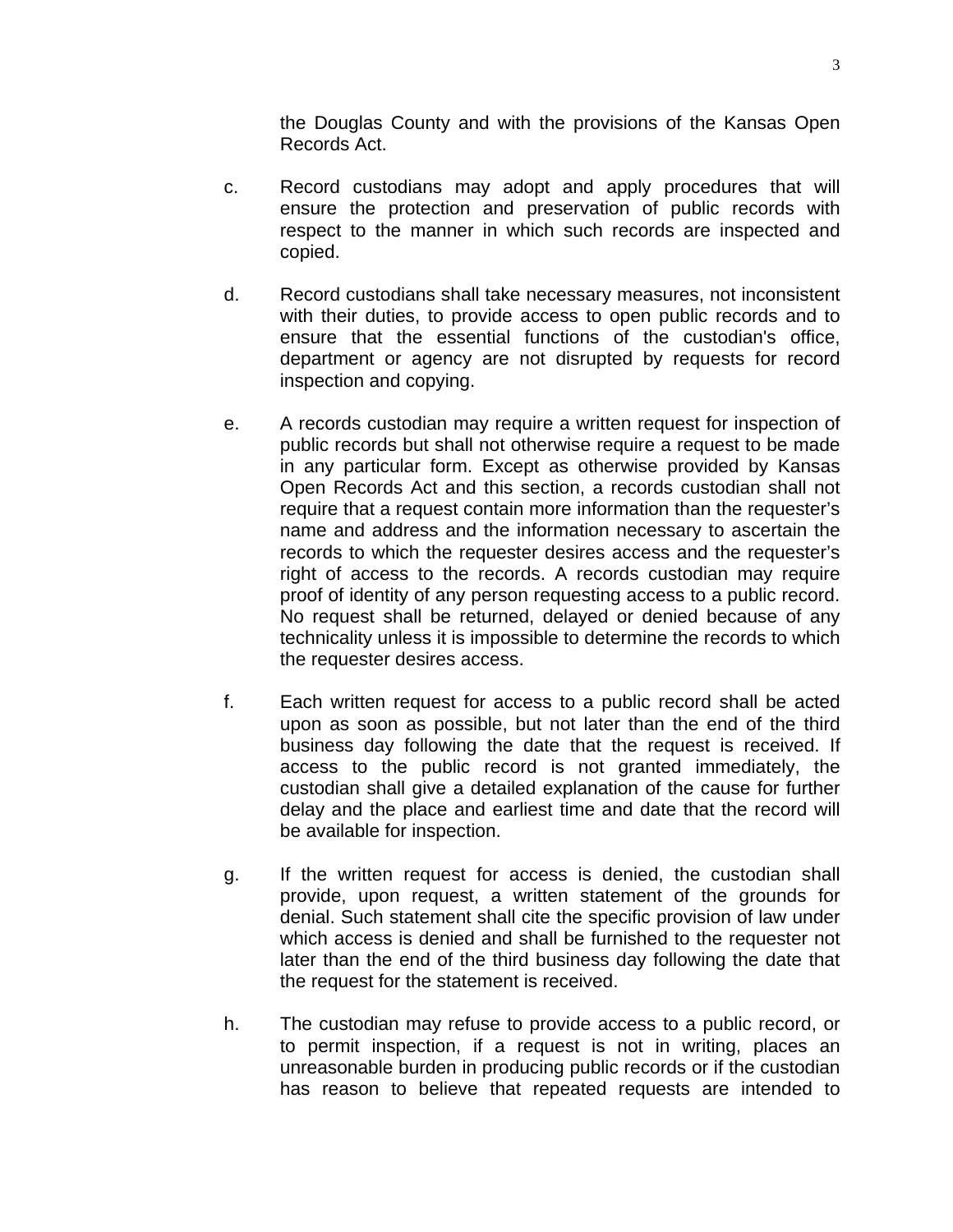the Douglas County and with the provisions of the Kansas Open Records Act.

- c. Record custodians may adopt and apply procedures that will ensure the protection and preservation of public records with respect to the manner in which such records are inspected and copied.
- d. Record custodians shall take necessary measures, not inconsistent with their duties, to provide access to open public records and to ensure that the essential functions of the custodian's office, department or agency are not disrupted by requests for record inspection and copying.
- e. A records custodian may require a written request for inspection of public records but shall not otherwise require a request to be made in any particular form. Except as otherwise provided by Kansas Open Records Act and this section, a records custodian shall not require that a request contain more information than the requester's name and address and the information necessary to ascertain the records to which the requester desires access and the requester's right of access to the records. A records custodian may require proof of identity of any person requesting access to a public record. No request shall be returned, delayed or denied because of any technicality unless it is impossible to determine the records to which the requester desires access.
- f. Each written request for access to a public record shall be acted upon as soon as possible, but not later than the end of the third business day following the date that the request is received. If access to the public record is not granted immediately, the custodian shall give a detailed explanation of the cause for further delay and the place and earliest time and date that the record will be available for inspection.
- g. If the written request for access is denied, the custodian shall provide, upon request, a written statement of the grounds for denial. Such statement shall cite the specific provision of law under which access is denied and shall be furnished to the requester not later than the end of the third business day following the date that the request for the statement is received.
- h. The custodian may refuse to provide access to a public record, or to permit inspection, if a request is not in writing, places an unreasonable burden in producing public records or if the custodian has reason to believe that repeated requests are intended to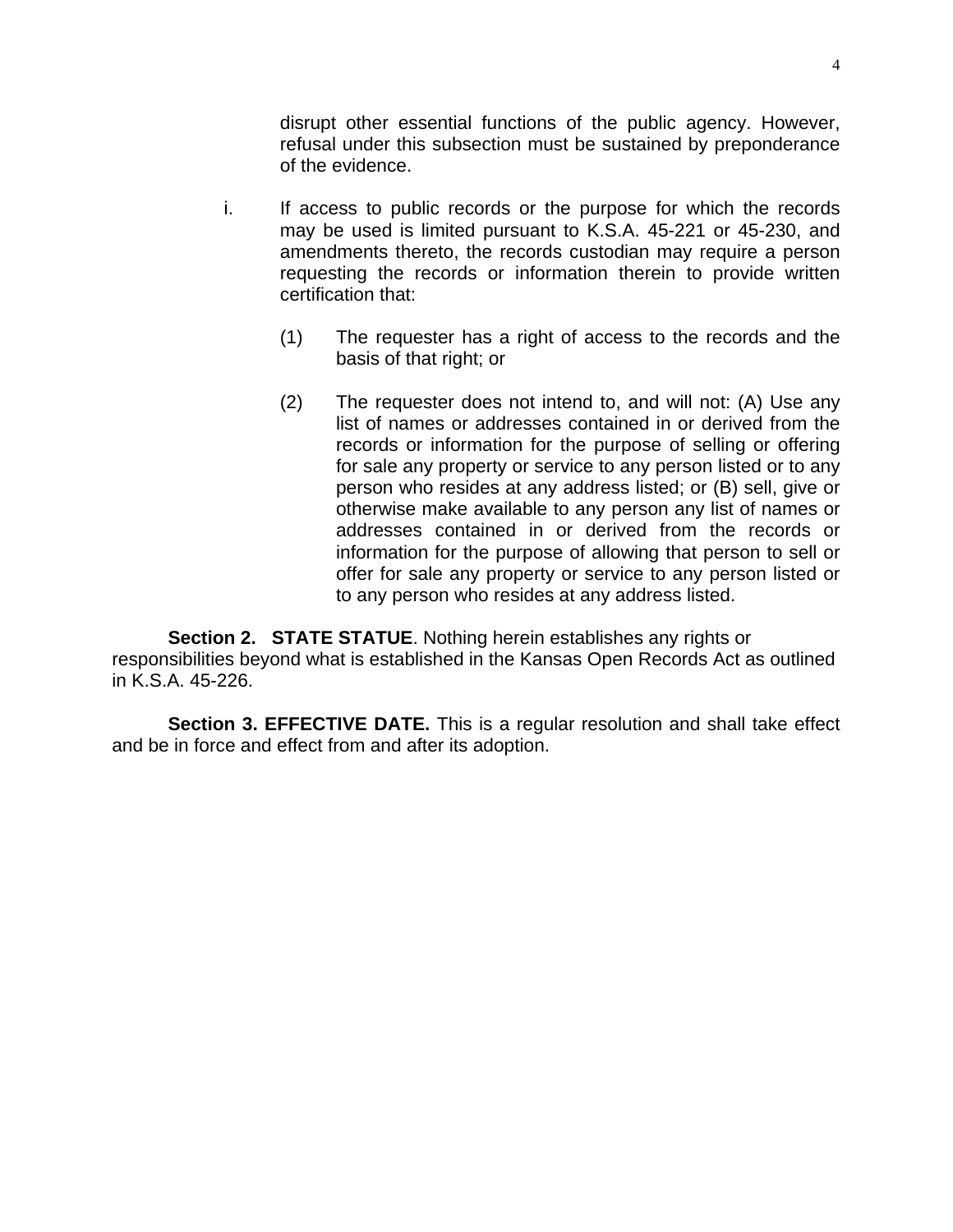disrupt other essential functions of the public agency. However, refusal under this subsection must be sustained by preponderance of the evidence.

- i. If access to public records or the purpose for which the records may be used is limited pursuant to K.S.A. 45-221 or 45-230, and amendments thereto, the records custodian may require a person requesting the records or information therein to provide written certification that:
	- (1) The requester has a right of access to the records and the basis of that right; or
	- (2) The requester does not intend to, and will not: (A) Use any list of names or addresses contained in or derived from the records or information for the purpose of selling or offering for sale any property or service to any person listed or to any person who resides at any address listed; or (B) sell, give or otherwise make available to any person any list of names or addresses contained in or derived from the records or information for the purpose of allowing that person to sell or offer for sale any property or service to any person listed or to any person who resides at any address listed.

**Section 2. STATE STATUE.** Nothing herein establishes any rights or responsibilities beyond what is established in the Kansas Open Records Act as outlined in K.S.A. 45-226.

**Section 3. EFFECTIVE DATE.** This is a regular resolution and shall take effect and be in force and effect from and after its adoption.